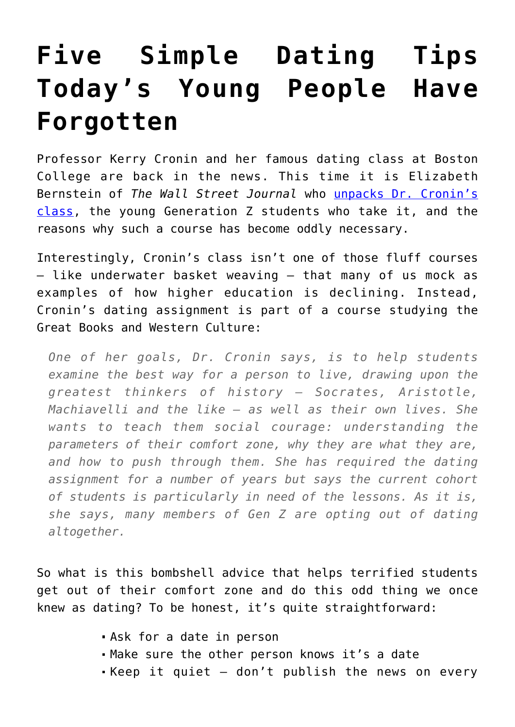## **[Five Simple Dating Tips](https://intellectualtakeout.org/2019/03/five-simple-dating-tips-todays-young-people-have-forgotten/) [Today's Young People Have](https://intellectualtakeout.org/2019/03/five-simple-dating-tips-todays-young-people-have-forgotten/) [Forgotten](https://intellectualtakeout.org/2019/03/five-simple-dating-tips-todays-young-people-have-forgotten/)**

Professor Kerry Cronin and her famous dating class at Boston College are back in the news. This time it is Elizabeth Bernstein of *The Wall Street Journal* who [unpacks Dr. Cronin's](https://www.wsj.com/articles/dating-101-for-the-romantically-challenged-gen-z-11552318023) [class](https://www.wsj.com/articles/dating-101-for-the-romantically-challenged-gen-z-11552318023), the young Generation Z students who take it, and the reasons why such a course has become oddly necessary.

Interestingly, Cronin's class isn't one of those fluff courses – like underwater basket weaving – that many of us mock as examples of how higher education is declining. Instead, Cronin's dating assignment is part of a course studying the Great Books and Western Culture:

*One of her goals, Dr. Cronin says, is to help students examine the best way for a person to live, drawing upon the greatest thinkers of history – Socrates, Aristotle, Machiavelli and the like – as well as their own lives. She wants to teach them social courage: understanding the parameters of their comfort zone, why they are what they are, and how to push through them. She has required the dating assignment for a number of years but says the current cohort of students is particularly in need of the lessons. As it is, she says, many members of Gen Z are opting out of dating altogether.*

So what is this bombshell advice that helps terrified students get out of their comfort zone and do this odd thing we once knew as dating? To be honest, it's quite straightforward:

- Ask for a date in person
- Make sure the other person knows it's a date
- Keep it quiet  $-$  don't publish the news on every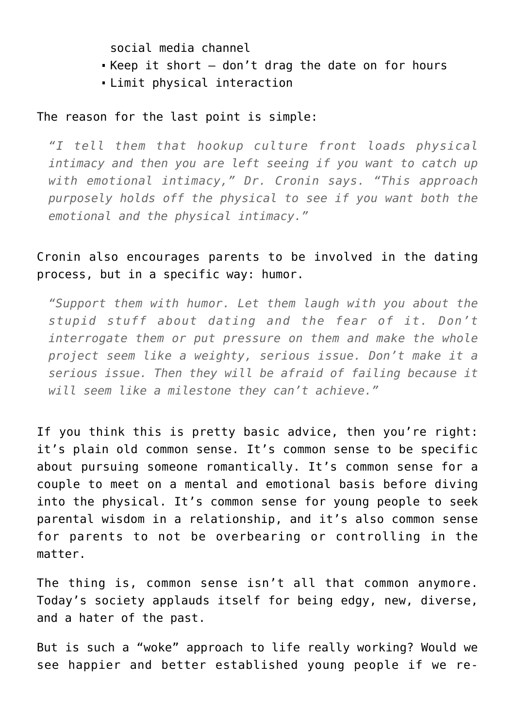social media channel

- Keep it short  $-$  don't drag the date on for hours
- Limit physical interaction

## The reason for the last point is simple:

*"I tell them that hookup culture front loads physical intimacy and then you are left seeing if you want to catch up with emotional intimacy," Dr. Cronin says. "This approach purposely holds off the physical to see if you want both the emotional and the physical intimacy."*

Cronin also encourages parents to be involved in the dating process, but in a specific way: humor.

*"Support them with humor. Let them laugh with you about the stupid stuff about dating and the fear of it. Don't interrogate them or put pressure on them and make the whole project seem like a weighty, serious issue. Don't make it a serious issue. Then they will be afraid of failing because it will seem like a milestone they can't achieve."*

If you think this is pretty basic advice, then you're right: it's plain old common sense. It's common sense to be specific about pursuing someone romantically. It's common sense for a couple to meet on a mental and emotional basis before diving into the physical. It's common sense for young people to seek parental wisdom in a relationship, and it's also common sense for parents to not be overbearing or controlling in the matter.

The thing is, common sense isn't all that common anymore. Today's society applauds itself for being edgy, new, diverse, and a hater of the past.

But is such a "woke" approach to life really working? Would we see happier and better established young people if we re